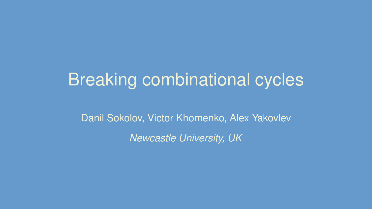# Breaking combinational cycles

Danil Sokolov, Victor Khomenko, Alex Yakovlev

*Newcastle University, UK*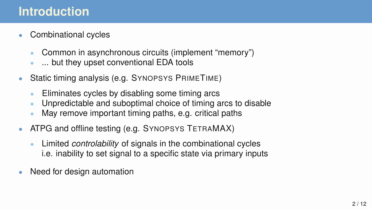#### **Introduction**

- Combinational cycles
	- Common in asynchronous circuits (implement "memory")
	- ... but they upset conventional EDA tools
- Static timing analysis (e.g. SYNOPSYS PRIMETIME)
	- Eliminates cycles by disabling some timing arcs
	- Unpredictable and suboptimal choice of timing arcs to disable
	- May remove important timing paths, e.g. critical paths
- ATPG and offline testing (e.g. SYNOPSYS TETRAMAX)
	- Limited *controlability* of signals in the combinational cycles i.e. inability to set signal to a specific state via primary inputs
- Need for design automation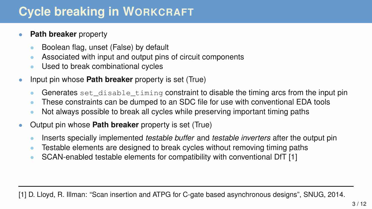## **Cycle breaking in WORKCRAFT**

#### **Path breaker** property

- Boolean flag, unset (False) by default
- Associated with input and output pins of circuit components
- Used to break combinational cycles
- Input pin whose **Path breaker** property is set (True)
	- Generates set\_disable\_timing constraint to disable the timing arcs from the input pin
	- These constraints can be dumped to an SDC file for use with conventional EDA tools
	- Not always possible to break all cycles while preserving important timing paths
- Output pin whose **Path breaker** property is set (True)
	- Inserts specially implemented *testable buffer* and *testable inverters* after the output pin
	- Testable elements are designed to break cycles without removing timing paths
	- SCAN-enabled testable elements for compatibility with conventional DfT [1]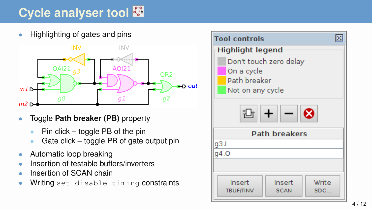# **Cycle analyser tool**

• Highlighting of gates and pins



- Toggle **Path breaker (PB)** property
	- Pin click  $-$  toggle PB of the pin
	- Gate click toggle PB of gate output pin
- Automatic loop breaking
- Insertion of testable buffers/inverters
- Insertion of SCAN chain
- Writing set\_disable\_timing constraints

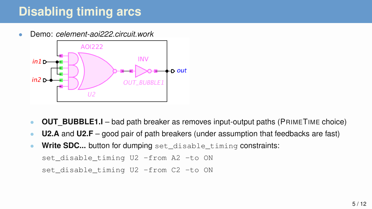## **Disabling timing arcs**

• Demo: *celement-aoi222.circuit.work*



- **OUT\_BUBBLE1.I** bad path breaker as removes input-output paths (PRIMETIME choice)
- **U2.A** and **U2.F** good pair of path breakers (under assumption that feedbacks are fast)
- **Write SDC...** button for dumping set\_disable\_timing constraints:

```
set_disable_timing U2 -from A2 -to ON
```
set\_disable\_timing U2 -from C2 -to ON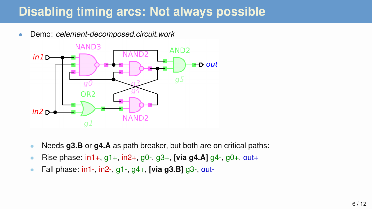### **Disabling timing arcs: Not always possible**

• Demo: *celement-decomposed.circuit.work*



- Needs **g3.B** or **g4.A** as path breaker, but both are on critical paths:
- Rise phase: in1+, g1+, in2+, g0-, g3+, **[via g4.A]** g4-, g0+, out+
- Fall phase: in1-, in2-, g1-, g4+, **[via g3.B]** g3-, out-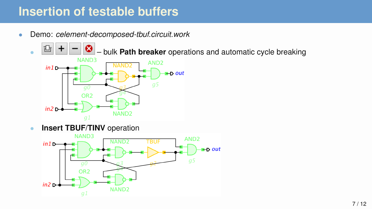#### **Insertion of testable buffers**

- Demo: *celement-decomposed-tbuf.circuit.work*
	- $\bullet$   $\mathbb{E}$   $\mathbb{F}$   $\mathbb{F}$   $\mathbb{F}$   $\mathbb{F}$   $\mathbb{F}$   $\mathbb{F}$  bulk **Path breaker** operations and automatic cycle breaking



**• Insert TBUF/TINV** operation

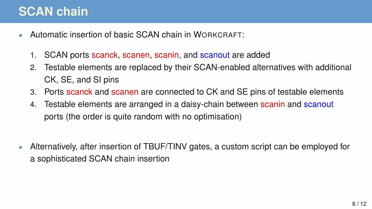### **SCAN chain**

- Automatic insertion of basic SCAN chain in WORKCRAFT:
	- 1. SCAN ports scanck, scanen, scanin, and scanout are added
	- 2. Testable elements are replaced by their SCAN-enabled alternatives with additional CK, SE, and SI pins
	- 3. Ports scanck and scanen are connected to CK and SE pins of testable elements
	- 4. Testable elements are arranged in a daisy-chain between scanin and scanout ports (the order is quite random with no optimisation)
- Alternatively, after insertion of TBUF/TINV gates, a custom script can be employed for a sophisticated SCAN chain insertion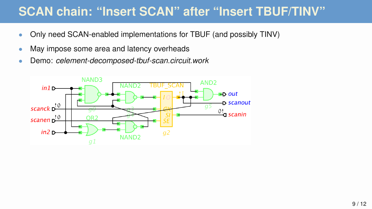#### **SCAN chain: "Insert SCAN" after "Insert TBUF/TINV"**

- Only need SCAN-enabled implementations for TBUF (and possibly TINV)
- May impose some area and latency overheads
- Demo: *celement-decomposed-tbuf-scan.circuit.work*

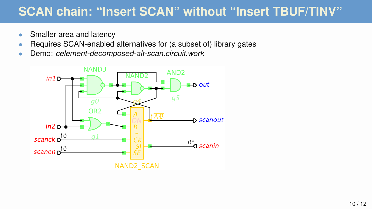#### **SCAN chain: "Insert SCAN" without "Insert TBUF/TINV"**

- Smaller area and latency
- Requires SCAN-enabled alternatives for (a subset of) library gates
- Demo: *celement-decomposed-alt-scan.circuit.work*

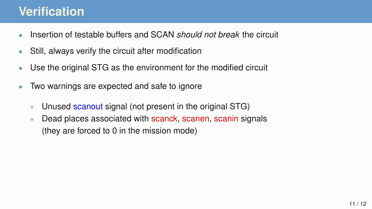#### **Verification**

- Insertion of testable buffers and SCAN *should not break* the circuit
- Still, always verify the circuit after modification
- Use the original STG as the environment for the modified circuit
- Two warnings are expected and safe to ignore
	- Unused scanout signal (not present in the original STG)
	- Dead places associated with scanck, scanen, scanin signals (they are forced to 0 in the mission mode)